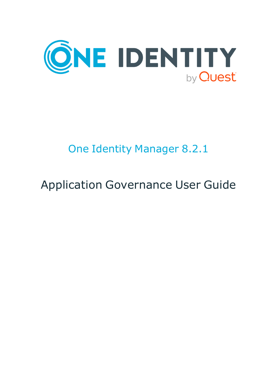

# One Identity Manager 8.2.1

# Application Governance User Guide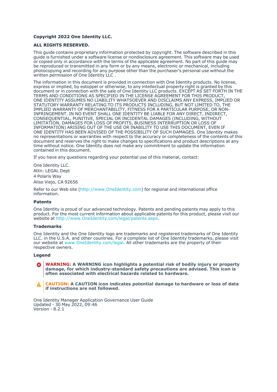#### **Copyright 2022 One Identity LLC.**

#### **ALL RIGHTS RESERVED.**

This guide contains proprietary information protected by copyright. The software described in this guide is furnished under a software license or nondisclosure agreement. This software may be used or copied only in accordance with the terms of the applicable agreement. No part of this guide may be reproduced or transmitted in any form or by any means, electronic or mechanical, including photocopying and recording for any purpose other than the purchaser's personal use without the written permission of One Identity LLC .

The information in this document is provided in connection with One Identity products. No license, express or implied, by estoppel or otherwise, to any intellectual property right is granted by this document or in connection with the sale of One Identity LLC products. EXCEPT AS SET FORTH IN THE TERMS AND CONDITIONS AS SPECIFIED IN THE LICENSE AGREEMENT FOR THIS PRODUCT, ONE IDENTITY ASSUMES NO LIABILITY WHATSOEVER AND DISCLAIMS ANY EXPRESS, IMPLIED OR STATUTORY WARRANTY RELATING TO ITS PRODUCTS INCLUDING, BUT NOT LIMITED TO, THE IMPLIED WARRANTY OF MERCHANTABILITY, FITNESS FOR A PARTICULAR PURPOSE, OR NON-INFRINGEMENT. IN NO EVENT SHALL ONE IDENTITY BE LIABLE FOR ANY DIRECT, INDIRECT, CONSEQUENTIAL, PUNITIVE, SPECIAL OR INCIDENTAL DAMAGES (INCLUDING, WITHOUT LIMITATION, DAMAGES FOR LOSS OF PROFITS, BUSINESS INTERRUPTION OR LOSS OF INFORMATION) ARISING OUT OF THE USE OR INABILITY TO USE THIS DOCUMENT, EVEN IF ONE IDENTITY HAS BEEN ADVISED OF THE POSSIBILITY OF SUCH DAMAGES. One Identity makes no representations or warranties with respect to the accuracy or completeness of the contents of this document and reserves the right to make changes to specifications and product descriptions at any time without notice. One Identity does not make any commitment to update the information contained in this document.

If you have any questions regarding your potential use of this material, contact:

One Identity LLC. Attn: LEGAL Dept 4 Polaris Way Aliso Viejo, CA 92656

Refer to our Web site [\(http://www.OneIdentity.com](http://www.oneidentity.com/)) for regional and international office information.

#### **Patents**

One Identity is proud of our advanced technology. Patents and pending patents may apply to this product. For the most current information about applicable patents for this product, please visit our website at [http://www.OneIdentity.com/legal/patents.aspx.](http://www.oneidentity.com/legal/patents.aspx)

#### **Trademarks**

One Identity and the One Identity logo are trademarks and registered trademarks of One Identity LLC. in the U.S.A. and other countries. For a complete list of One Identity trademarks, please visit our website at [www.OneIdentity.com/legal](http://www.oneidentity.com/legal). All other trademarks are the property of their respective owners.

#### **Legend**

**WARNING: A WARNING icon highlights a potential risk of bodily injury or property** œ **damage, for which industry-standard safety precautions are advised. This icon is often associated with electrical hazards related to hardware.**

**CAUTION: A CAUTION icon indicates potential damage to hardware or loss of data if instructions are not followed.**

One Identity Manager Application Governance User Guide Updated - 30 May 2022, 09:46 Version - 8.2.1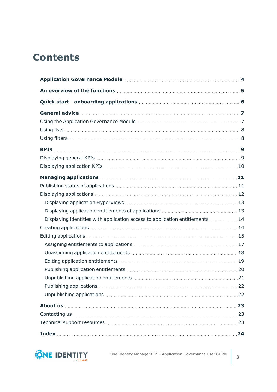# **Contents**

| Displaying identities with application access to application entitlements  14                                                                                                                                                        |  |
|--------------------------------------------------------------------------------------------------------------------------------------------------------------------------------------------------------------------------------------|--|
|                                                                                                                                                                                                                                      |  |
|                                                                                                                                                                                                                                      |  |
|                                                                                                                                                                                                                                      |  |
|                                                                                                                                                                                                                                      |  |
|                                                                                                                                                                                                                                      |  |
|                                                                                                                                                                                                                                      |  |
|                                                                                                                                                                                                                                      |  |
|                                                                                                                                                                                                                                      |  |
|                                                                                                                                                                                                                                      |  |
| About us <b>contract the contract of the contract of the contract of the contract of the contract of the contract of the contract of the contract of the contract of the contract of the contract of the contract of the contrac</b> |  |
|                                                                                                                                                                                                                                      |  |
|                                                                                                                                                                                                                                      |  |
|                                                                                                                                                                                                                                      |  |

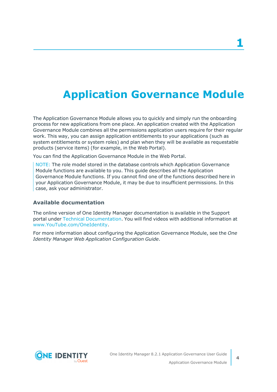# <span id="page-3-0"></span>**Application Governance Module**

The Application Governance Module allows you to quickly and simply run the onboarding process for new applications from one place. An application created with the Application Governance Module combines all the permissions application users require for their regular work. This way, you can assign application entitlements to your applications (such as system entitlements or system roles) and plan when they will be available as requestable products (service items) (for example, in the Web Portal).

You can find the Application Governance Module in the Web Portal.

NOTE: The role model stored in the database controls which Application Governance Module functions are available to you. This guide describes all the Application Governance Module functions. If you cannot find one of the functions described here in your Application Governance Module, it may be due to insufficient permissions. In this case, ask your administrator.

#### **Available documentation**

The online version of One Identity Manager documentation is available in the Support portal under Technical [Documentation.](https://support.oneidentity.com/identity-manager/technical-documents) You will find videos with additional information at [www.YouTube.com/OneIdentity](http://www.youtube.com/OneIdentity).

For more information about configuring the Application Governance Module, see the *One Identity Manager Web Application Configuration Guide*.

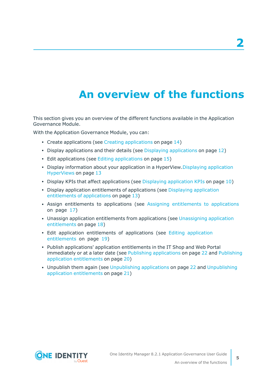# **An overview of the functions**

<span id="page-4-0"></span>This section gives you an overview of the different functions available in the Application Governance Module.

With the Application Governance Module, you can:

- Create [applications](#page-13-1) (see Creating applications on page  $14$ )
- Display [applications](#page-11-0) and their details (see Displaying applications on page  $12$ )
- $\cdot$  Edit [applications](#page-14-0) (see Editing applications on page 15)
- Display information about your [application](#page-12-0) in a HyperView.Displaying application [HyperViews](#page-12-0) on page 13
- Display KPIs that affect [application](#page-9-0)s (see Displaying application KPIs on page  $10$ )
- Display [application](#page-12-1) entitlements of applications (see Displaying application [entitlements](#page-12-1) of applications on page 13)
- Assign [entitlements](#page-16-0) to applications (see Assigning entitlements to applications on [page](#page-16-0) 17)
- Unassign application entitlements from applications (see [Unassigning](#page-17-0) application [entitlements](#page-17-0) on page 18)
- Edit [application](#page-18-0) entitlements of applications (see Editing application [entitlements](#page-18-0) on page 19)
- Publish applications' application entitlements in the IT Shop and Web Portal immediately or at a later date (see Publishing [applications](#page-21-0) on page 22 and [Publishing](#page-19-0) application [entitlements](#page-19-0) on page 20)
- Unpublish them again (see [Unpublishing](#page-20-0) applications on page 22 and Unpublishing application [entitlements](#page-20-0) on page 21)

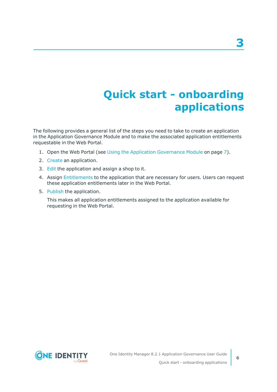# **Quick start - onboarding applications**

<span id="page-5-0"></span>The following provides a general list of the steps you need to take to create an application in the Application Governance Module and to make the associated application entitlements requestable in the Web Portal.

- 1. Open the Web Portal (see Using the Application [Governance](#page-6-1) Module on page 7).
- 2. [Create](#page-13-1) an application.
- 3. [Edit](#page-14-0) the application and assign a shop to it.
- 4. Assign [Entitlements](#page-16-0) to the application that are necessary for users. Users can request these application entitlements later in the Web Portal.
- 5. [Publish](#page-21-0) the application.

This makes all application entitlements assigned to the application available for requesting in the Web Portal.

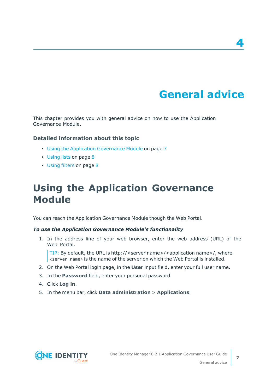# **General advice**

**4**

<span id="page-6-0"></span>This chapter provides you with general advice on how to use the Application Governance Module.

#### **Detailed information about this topic**

- Using the Application [Governance](#page-6-1) Module on page 7
- [Using](#page-7-0) lists on page 8
- Using [filters](#page-7-1) on page 8

## <span id="page-6-1"></span>**Using the Application Governance Module**

You can reach the Application Governance Module though the Web Portal.

#### *To use the Application Governance Module's functionality*

1. In the address line of your web browser, enter the web address (URL) of the Web Portal.

TIP: By default, the URL is http://<server name>/<application name>/, where  $\overline{\phantom{a}}$  <server name > is the name of the server on which the Web Portal is installed.

- 2. On the Web Portal login page, in the **User** input field, enter your full user name.
- 3. In the **Password** field, enter your personal password.
- 4. Click **Log in**.
- 5. In the menu bar, click **Data administration** > **Applications**.

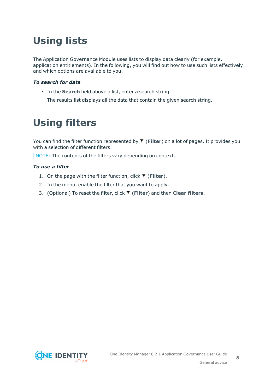# <span id="page-7-0"></span>**Using lists**

The Application Governance Module uses lists to display data clearly (for example, application entitlements). In the following, you will find out how to use such lists effectively and which options are available to you.

#### *To search for data*

• In the **Search** field above a list, enter a search string.

The results list displays all the data that contain the given search string.

## <span id="page-7-1"></span>**Using filters**

You can find the filter function represented by **T** (Filter) on a lot of pages. It provides you with a selection of different filters.

NOTE: The contents of the filters vary depending on context.

#### *To use a filter*

- 1. On the page with the filter function, click **T** (Filter).
- 2. In the menu, enable the filter that you want to apply.
- 3. (Optional) To reset the filter, click (**Filter**) and then **Clear filters**.

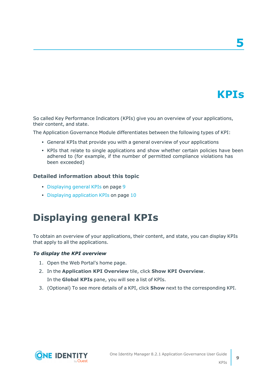# **KPIs**

**5**

<span id="page-8-0"></span>So called Key Performance Indicators (KPIs) give you an overview of your applications, their content, and state.

The Application Governance Module differentiates between the following types of KPI:

- General KPIs that provide you with a general overview of your applications
- KPIs that relate to single applications and show whether certain policies have been adhered to (for example, if the number of permitted compliance violations has been exceeded)

#### **Detailed information about this topic**

- [Displaying](#page-8-1) general KPIs on page 9
- <span id="page-8-1"></span>• Displaying [application](#page-9-0) KPIs on page 10

## **Displaying general KPIs**

To obtain an overview of your applications, their content, and state, you can display KPIs that apply to all the applications.

#### *To display the KPI overview*

- 1. Open the Web Portal's home page.
- 2. In the **Application KPI Overview** tile, click **Show KPI Overview**. In the **Global KPIs** pane, you will see a list of KPIs.
- 3. (Optional) To see more details of a KPI, click **Show** next to the corresponding KPI.



KPIs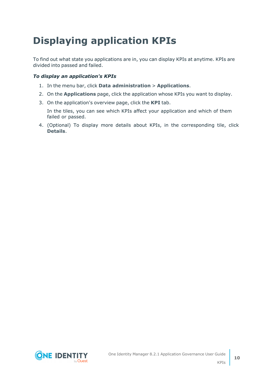# <span id="page-9-0"></span>**Displaying application KPIs**

To find out what state you applications are in, you can display KPIs at anytime. KPIs are divided into passed and failed.

#### *To display an application's KPIs*

- 1. In the menu bar, click **Data administration** > **Applications**.
- 2. On the **Applications** page, click the application whose KPIs you want to display.
- 3. On the application's overview page, click the **KPI** tab.

In the tiles, you can see which KPIs affect your application and which of them failed or passed.

4. (Optional) To display more details about KPIs, in the corresponding tile, click **Details**.

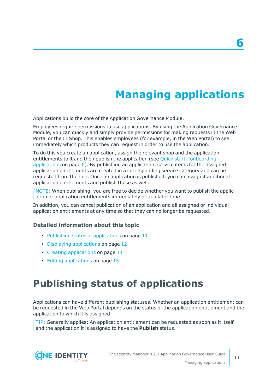# **Managing applications**

<span id="page-10-0"></span>Applications build the core of the Application Governance Module.

Employees require permissions to use applications. By using the Application Governance Module, you can quickly and simply provide permissions for making requests in the Web Portal or the IT Shop. This enables employees (for example, in the Web Portal) to see immediately which products they can request in order to use the application.

To do this you create an application, assign the relevant shop and the application entitlements to it and then publish the application (see Quick start - [onboarding](#page-5-0) [applications](#page-5-0) on page 6). By publishing an application, service items for the assigned application entitlements are created in a corresponding service category and can be requested from then on. Once an application is published, you can assign it additional application entitlements and publish those as well.

NOTE: When publishing, you are free to decide whether you want to publish the application or application entitlements immediately or at a later time.

In addition, you can cancel publication of an application and all assigned or individual application entitlements at any time so that they can no longer be requested.

#### **Detailed information about this topic**

- $\cdot$  Publishing status of [applications](#page-10-1) on page 11
- Displaying [applications](#page-11-0) on page 12
- Creating [applications](#page-13-1) on page 14
- <span id="page-10-1"></span>• Editing [applications](#page-14-0) on page 15

## **Publishing status of applications**

Applications can have different publishing statuses. Whether an application entitlement can be requested in the Web Portal depends on the status of the application entitlement and the application to which it is assigned.

TIP: Generally applies: An application entitlement can be requested as soon as it itself and the application it is assigned to have the **Publish** status.

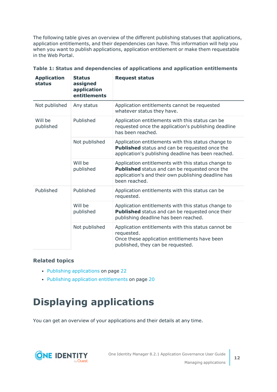The following table gives an overview of the different publishing statuses that applications, application entitlements, and their dependencies can have. This information will help you when you want to publish applications, application entitlement or make them requestable in the Web Portal.

| <b>Application</b><br>status | <b>Status</b><br>assigned<br>application<br>entitlements | <b>Request status</b>                                                                                                                                                         |
|------------------------------|----------------------------------------------------------|-------------------------------------------------------------------------------------------------------------------------------------------------------------------------------|
| Not published                | Any status                                               | Application entitlements cannot be requested<br>whatever status they have.                                                                                                    |
| Will be<br>published         | Published                                                | Application entitlements with this status can be<br>requested once the application's publishing deadline<br>has been reached.                                                 |
|                              | Not published                                            | Application entitlements with this status change to<br>Published status and can be requested once the<br>application's publishing deadline has been reached.                  |
|                              | Will be<br>published                                     | Application entitlements with this status change to<br>Published status and can be requested once the<br>application's and their own publishing deadline has<br>been reached. |
| Published                    | Published                                                | Application entitlements with this status can be<br>requested.                                                                                                                |
|                              | Will be<br>published                                     | Application entitlements with this status change to<br>Published status and can be requested once their<br>publishing deadline has been reached.                              |
|                              | Not published                                            | Application entitlements with this status cannot be<br>requested.<br>Once these application entitlements have been<br>published, they can be requested.                       |

| Table 1: Status and dependencies of applications and application entitlements |  |  |
|-------------------------------------------------------------------------------|--|--|
|-------------------------------------------------------------------------------|--|--|

#### **Related topics**

- Publishing [applications](#page-21-0) on page 22
- Publishing application [entitlements](#page-19-0) on page 20

# <span id="page-11-0"></span>**Displaying applications**

You can get an overview of your applications and their details at any time.

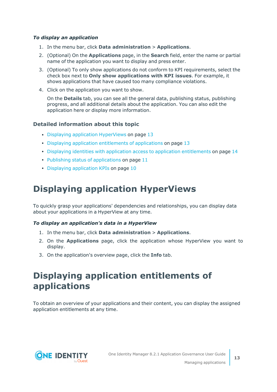#### *To display an application*

- 1. In the menu bar, click **Data administration** > **Applications**.
- 2. (Optional) On the **Applications** page, in the **Search** field, enter the name or partial name of the application you want to display and press enter.
- 3. (Optional) To only show applications do not conform to KPI requirements, select the check box next to **Only show applications with KPI issues**. For example, it shows applications that have caused too many compliance violations.
- 4. Click on the application you want to show.

On the **Details** tab, you can see all the general data, publishing status, publishing progress, and all additional details about the application. You can also edit the application here or display more information.

#### **Detailed information about this topic**

- Displaying application [HyperViews](#page-12-0) on page 13
- $\cdot$  Displaying application [entitlements](#page-12-1) of applications on page 13
- Displaying identities with application access to application [entitlements](#page-13-0) on page 14
- $\cdot$  Publishing status of [applications](#page-10-1) on page 11
- Displaying [application](#page-9-0) KPIs on page 10

## <span id="page-12-0"></span>**Displaying application HyperViews**

To quickly grasp your applications' dependencies and relationships, you can display data about your applications in a HyperView at any time.

#### *To display an application's data in a HyperView*

- 1. In the menu bar, click **Data administration** > **Applications**.
- 2. On the **Applications** page, click the application whose HyperView you want to display.
- <span id="page-12-1"></span>3. On the application's overview page, click the **Info** tab.

## **Displaying application entitlements of applications**

To obtain an overview of your applications and their content, you can display the assigned application entitlements at any time.

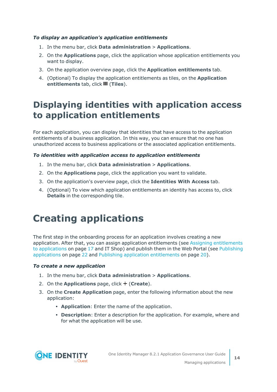#### *To display an application's application entitlements*

- 1. In the menu bar, click **Data administration** > **Applications**.
- 2. On the **Applications** page, click the application whose application entitlements you want to display.
- 3. On the application overview page, click the **Application entitlements** tab.
- 4. (Optional) To display the application entitlements as tiles, on the **Application entitlements** tab, click **III** (Tiles).

## <span id="page-13-0"></span>**Displaying identities with application access to application entitlements**

For each application, you can display that identities that have access to the application entitlements of a business application. In this way, you can ensure that no one has unauthorized access to business applications or the associated application entitlements.

#### *To identities with application access to application entitlements*

- 1. In the menu bar, click **Data administration** > **Applications**.
- 2. On the **Applications** page, click the application you want to validate.
- 3. On the application's overview page, click the **Identities With Access** tab.
- 4. (Optional) To view which application entitlements an identity has access to, click **Details** in the corresponding tile.

## <span id="page-13-1"></span>**Creating applications**

The first step in the onboarding process for an application involves creating a new application. After that, you can assign application entitlements (see Assigning [entitlements](#page-16-0) to [applications](#page-16-0) on page 17 and IT Shop) and publish them in the Web Portal (see [Publishing](#page-21-0) [applications](#page-21-0) on page 22 and Publishing application [entitlements](#page-19-0) on page 20).

#### *To create a new application*

- 1. In the menu bar, click **Data administration** > **Applications**.
- 2. On the **Applications** page, click  $+$  (**Create**).
- 3. On the **Create Application** page, enter the following information about the new application:
	- **Application**: Enter the name of the application.
	- **Description**: Enter a description for the application. For example, where and for what the application will be use.

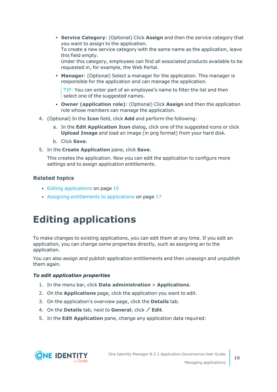<sup>l</sup> **Service Category**: (Optional) Click **Assign** and then the service category that you want to assign to the application.

To create a new service category with the same name as the application, leave this field empty.

Under this category, employees can find all associated products available to be requested in, for example, the Web Portal.

**Manager:** (Optional) Select a manager for the application. This manager is responsible for the application and can manage the application.

TIP: You can enter part of an employee's name to filter the list and then select one of the suggested names.

- <sup>l</sup> **Owner (application role)**: (Optional) Click **Assign** and then the application role whose members can manage the application.
- 4. (Optional) In the **Icon** field, click **Add** and perform the following:
	- a. In the **Edit Application Icon** dialog, click one of the suggested icons or click **Upload Image** and load an image (in png format) from your hard disk.
	- b. Click **Save**.
- 5. In the **Create Application** pane, click **Save**.

This creates the application. Now you can edit the application to configure more settings and to assign application entitlements.

#### **Related topics**

- $\cdot$  Editing [applications](#page-14-0) on page 15
- Assigning [entitlements](#page-16-0) to applications on page 17

## <span id="page-14-0"></span>**Editing applications**

To make changes to existing applications, you can edit them at any time. If you edit an application, you can change some properties directly, such as assigning an to the application.

You can also assign and publish application entitlements and then unassign and unpublish them again.

#### *To edit application properties*

- 1. In the menu bar, click **Data administration** > **Applications**.
- 2. On the **Applications** page, click the application you want to edit.
- 3. On the application's overview page, click the **Details** tab.
- 4. On the **Details** tab, next to **General**, click **Edit**.
- 5. In the **Edit Application** pane, change any application data required:

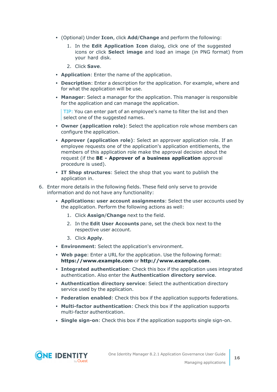- <sup>l</sup> (Optional) Under **Icon**, click **Add**/**Change** and perform the following:
	- 1. In the **Edit Application Icon** dialog, click one of the suggested icons or click **Select image** and load an image (in PNG format) from your hard disk.
	- 2. Click **Save**.
- **Application**: Enter the name of the application.
- **Description**: Enter a description for the application. For example, where and for what the application will be use.
- **Manager**: Select a manager for the application. This manager is responsible for the application and can manage the application.

TIP: You can enter part of an employee's name to filter the list and then select one of the suggested names.

- **Owner (application role):** Select the application role whose members can configure the application.
- <sup>l</sup> **Approver (application role)**: Select an approver application role. If an employee requests one of the application's application entitlements, the members of this application role make the approval decision about the request (if the **BE - Approver of a business application** approval procedure is used).
- <sup>l</sup> **IT Shop structures**: Select the shop that you want to publish the application in.
- 6. Enter more details in the following fields. These field only serve to provide information and do not have any functionality:
	- <sup>l</sup> **Applications: user account assignments**: Select the user accounts used by the application. Perform the following actions as well:
		- 1. Click **Assign**/**Change** next to the field.
		- 2. In the **Edit User Accounts** pane, set the check box next to the respective user account.
		- 3. Click **Apply**.
	- **Environment**: Select the application's environment.
	- <sup>l</sup> **Web page**: Enter a URL for the application. Use the following format: **https://www.example.com** or **http://www.example.com**.
	- <sup>l</sup> **Integrated authentication**: Check this box if the application uses integrated authentication. Also enter the **Authentication directory service**.
	- **Authentication directory service:** Select the authentication directory service used by the application.
	- <sup>l</sup> **Federation enabled**: Check this box if the application supports federations.
	- **Multi-factor authentication**: Check this box if the application supports multi-factor authentication.
	- **Single sign-on**: Check this box if the application supports single sign-on.

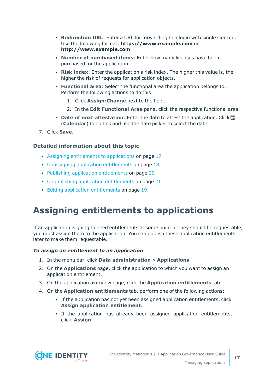- <sup>l</sup> **Redirection URL**: Enter a URL for forwarding to a login with single sign-on. Use the following format: **https://www.example.com** or **http://www.example.com**.
- <sup>l</sup> **Number of purchased items**: Enter how many licenses have been purchased for the application.
- <sup>l</sup> **Risk index**: Enter the application's risk index. The higher this value is, the higher the risk of requests for application objects.
- <sup>l</sup> **Functional area**: Select the functional area the application belongs to. Perform the following actions to do this:
	- 1. Click **Assign**/**Change** next to the field.
	- 2. In the **Edit Functional Area** pane, click the respective functional area.
- **Date of next attestation**: Enter the date to attest the application. Click (**Calendar**) to do this and use the date picker to select the date.
- 7. Click **Save**.

#### **Detailed information about this topic**

- Assigning [entitlements](#page-16-0) to applications on page 17
- $\cdot$  Unassigning application [entitlements](#page-17-0) on page 18
- Publishing application [entitlements](#page-19-0) on page 20
- [Unpublishing](#page-20-0) application entitlements on page 21
- Editing application [entitlements](#page-18-0) on page 19

## <span id="page-16-0"></span>**Assigning entitlements to applications**

If an application is going to need entitlements at some point or they should be requestable, you must assign them to the application. You can publish these application entitlements later to make them requestable.

#### *To assign an entitlement to an application*

- 1. In the menu bar, click **Data administration** > **Applications**.
- 2. On the **Applications** page, click the application to which you want to assign an application entitlement.
- 3. On the application overview page, click the **Application entitlements** tab.
- 4. On the **Application entitlements** tab, perform one of the following actions:
	- If the application has not yet been assigned application entitlements, click **Assign application entitlement**.
	- If the application has already been assigned application entitlements, click **Assign**.

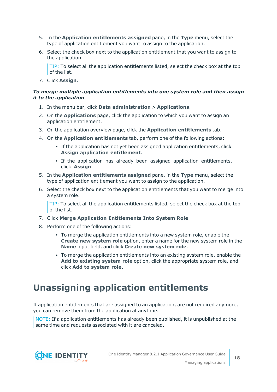- 5. In the **Application entitlements assigned** pane, in the **Type** menu, select the type of application entitlement you want to assign to the application.
- 6. Select the check box next to the application entitlement that you want to assign to the application.

TIP: To select all the application entitlements listed, select the check box at the top of the list.

7. Click **Assign**.

#### *To merge multiple application entitlements into one system role and then assign it to the application*

- 1. In the menu bar, click **Data administration** > **Applications**.
- 2. On the **Applications** page, click the application to which you want to assign an application entitlement.
- 3. On the application overview page, click the **Application entitlements** tab.
- 4. On the **Application entitlements** tab, perform one of the following actions:
	- If the application has not yet been assigned application entitlements, click **Assign application entitlement**.
	- If the application has already been assigned application entitlements, click **Assign**.
- 5. In the **Application entitlements assigned** pane, in the **Type** menu, select the type of application entitlement you want to assign to the application.
- 6. Select the check box next to the application entitlements that you want to merge into a system role.

TIP: To select all the application entitlements listed, select the check box at the top of the list.

- 7. Click **Merge Application Entitlements Into System Role**.
- 8. Perform one of the following actions:
	- To merge the application entitlements into a new system role, enable the **Create new system role** option, enter a name for the new system role in the **Name** input field, and click **Create new system role**.
	- To merge the application entitlements into an existing system role, enable the **Add to existing system role** option, click the appropriate system role, and click **Add to system role**.

## <span id="page-17-0"></span>**Unassigning application entitlements**

If application entitlements that are assigned to an application, are not required anymore, you can remove them from the application at anytime.

NOTE: If a application entitlements has already been published, it is unpublished at the same time and requests associated with it are canceled.

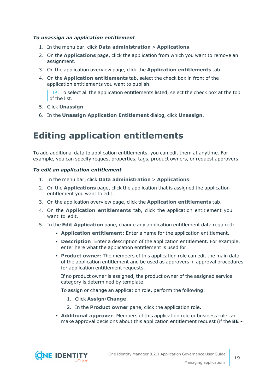#### *To unassign an application entitlement*

- 1. In the menu bar, click **Data administration** > **Applications**.
- 2. On the **Applications** page, click the application from which you want to remove an assignment.
- 3. On the application overview page, click the **Application entitlements** tab.
- 4. On the **Application entitlements** tab, select the check box in front of the application entitlements you want to publish.

TIP: To select all the application entitlements listed, select the check box at the top of the list.

- 5. Click **Unassign**.
- <span id="page-18-0"></span>6. In the **Unassign Application Entitlement** dialog, click **Unassign**.

## **Editing application entitlements**

To add additional data to application entitlements, you can edit them at anytime. For example, you can specify request properties, tags, product owners, or request approvers.

#### *To edit an application entitlement*

- 1. In the menu bar, click **Data administration** > **Applications**.
- 2. On the **Applications** page, click the application that is assigned the application entitlement you want to edit.
- 3. On the application overview page, click the **Application entitlements** tab.
- 4. On the **Application entitlements** tab, click the application entitlement you want to edit.
- 5. In the **Edit Application** pane, change any application entitlement data required:
	- <sup>l</sup> **Application entitlement**: Enter a name for the application entitlement.
	- **Description**: Enter a description of the application entitlement. For example, enter here what the application entitlement is used for.
	- <sup>l</sup> **Product owner**: The members of this application role can edit the main data of the application entitlement and be used as approvers in approval procedures for application entitlement requests.

If no product owner is assigned, the product owner of the assigned service category is determined by template.

To assign or change an application role, perform the following:

- 1. Click **Assign**/**Change**.
- 2. In the **Product owner** pane, click the application role.
- <sup>l</sup> **Additional approver**: Members of this application role or business role can make approval decisions about this application entitlement request (if the **BE -**

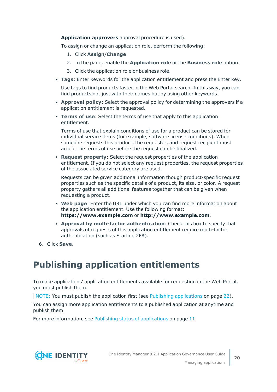**Application approvers** approval procedure is used).

To assign or change an application role, perform the following:

- 1. Click **Assign**/**Change**.
- 2. In the pane, enable the **Application role** or the **Business role** option.
- 3. Click the application role or business role.
- <sup>l</sup> **Tags**: Enter keywords for the application entitlement and press the Enter key.

Use tags to find products faster in the Web Portal search. In this way, you can find products not just with their names but by using other keywords.

- **Approval policy**: Select the approval policy for determining the approvers if a application entitlement is requested.
- **Terms of use**: Select the terms of use that apply to this application entitlement.

Terms of use that explain conditions of use for a product can be stored for individual service items (for example, software license conditions). When someone requests this product, the requester, and request recipient must accept the terms of use before the request can be finalized.

**Request property:** Select the request properties of the application entitlement. If you do not select any request properties, the request properties of the associated service category are used.

Requests can be given additional information though product-specific request properties such as the specific details of a product, its size, or color. A request property gathers all additional features together that can be given when requesting a product.

- <sup>l</sup> **Web page**: Enter the URL under which you can find more information about the application entitlement. Use the following format: **https://www.example.com** or **http://www.example.com**.
- <sup>l</sup> **Approval by multi-factor authentication**: Check this box to specify that approvals of requests of this application entitlement require multi-factor authentication (such as Starling 2FA).
- <span id="page-19-0"></span>6. Click **Save**.

### **Publishing application entitlements**

To make applications' application entitlements available for requesting in the Web Portal, you must publish them.

NOTE: You must publish the application first (see Publishing [applications](#page-21-0) on page 22).

You can assign more application entitlements to a published application at anytime and publish them.

For more information, see Publishing status of [applications](#page-10-1) on page 11.

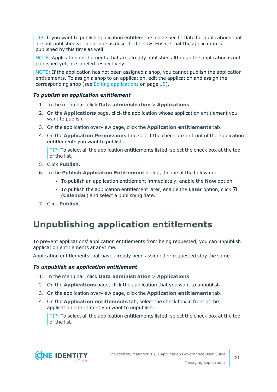TIP: If you want to publish application entitlements on a specific date for applications that are not published yet, continue as described below. Ensure that the application is published by this time as well.

NOTE: Application entitlements that are already published although the application is not published yet, are labeled respectively.

NOTE: If the application has not been assigned a shop, you cannot publish the application entitlements. To assign a shop to an application, edit the application and assign the corresponding shop (see Editing [applications](#page-14-0) on page 15).

#### *To publish an application entitlement*

- 1. In the menu bar, click **Data administration** > **Applications**.
- 2. On the **Applications** page, click the application whose application entitlement you want to publish.
- 3. On the application overview page, click the **Application entitlements** tab.
- 4. On the **Application Permissions** tab, select the check box in front of the application entitlements you want to publish.

TIP: To select all the application entitlements listed, select the check box at the top of the list.

- 5. Click **Publish**.
- 6. In the **Publish Application Entitlement** dialog, do one of the following:
	- <sup>l</sup> To publish an application entitlement immediately, enable the **Now** option.
	- To publish the application entitlement later, enable the **Later** option, click  $\blacksquare$ (**Calendar**) and select a publishing date.
- <span id="page-20-0"></span>7. Click **Publish**.

## **Unpublishing application entitlements**

To prevent applications' application entitlements from being requested, you can unpublish application entitlements at anytime.

Application entitlements that have already been assigned or requested stay the same.

#### *To unpublish an application entitlement*

- 1. In the menu bar, click **Data administration** > **Applications**.
- 2. On the **Applications** page, click the application that you want to unpublish.
- 3. On the application overview page, click the **Application entitlements** tab.
- 4. On the **Application entitlements** tab, select the check box in front of the application entitlement you want to unpublish.

TIP: To select all the application entitlements listed, select the check box at the top of the list.

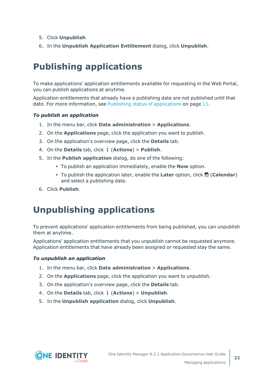- 5. Click **Unpublish**.
- <span id="page-21-0"></span>6. In the **Unpublish Application Entitlement** dialog, click **Unpublish**.

## **Publishing applications**

To make applications' application entitlements available for requesting in the Web Portal, you can publish applications at anytime.

Application entitlements that already have a publishing date are not published until that date. For more information, see Publishing status of [applications](#page-10-1) on page 11.

#### *To publish an application*

- 1. In the menu bar, click **Data administration** > **Applications**.
- 2. On the **Applications** page, click the application you want to publish.
- 3. On the application's overview page, click the **Details** tab.
- 4. On the **Details** tab, click (**Actions**) > **Publish**.
- 5. In the **Publish application** dialog, do one of the following:
	- **To publish an application immediately, enable the <b>Now** option.
	- To publish the application later, enable the **Later** option, click **□** (**Calendar**) and select a publishing date.
- <span id="page-21-1"></span>6. Click **Publish**.

## **Unpublishing applications**

To prevent applications' application entitlements from being published, you can unpublish them at anytime.

Applications' application entitlements that you unpublish cannot be requested anymore. Application entitlements that have already been assigned or requested stay the same.

#### *To unpublish an application*

- 1. In the menu bar, click **Data administration** > **Applications**.
- 2. On the **Applications** page, click the application you want to unpublish.
- 3. On the application's overview page, click the **Details** tab.
- 4. On the **Details** tab, click (**Actions**) > **Unpublish**.
- 5. In the **Unpublish application** dialog, click **Unpublish**.

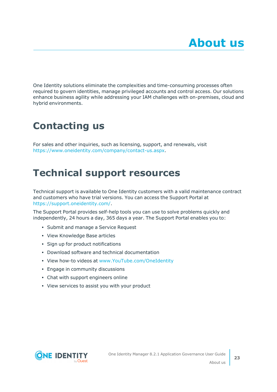<span id="page-22-0"></span>One Identity solutions eliminate the complexities and time-consuming processes often required to govern identities, manage privileged accounts and control access. Our solutions enhance business agility while addressing your IAM challenges with on-premises, cloud and hybrid environments.

# <span id="page-22-1"></span>**Contacting us**

For sales and other inquiries, such as licensing, support, and renewals, visit [https://www.oneidentity.com/company/contact-us.aspx.](https://www.oneidentity.com/company/contact-us.aspx)

## <span id="page-22-2"></span>**Technical support resources**

Technical support is available to One Identity customers with a valid maintenance contract and customers who have trial versions. You can access the Support Portal at [https://support.oneidentity.com/.](https://support.oneidentity.com/)

The Support Portal provides self-help tools you can use to solve problems quickly and independently, 24 hours a day, 365 days a year. The Support Portal enables you to:

- Submit and manage a Service Request
- View Knowledge Base articles
- Sign up for product notifications
- Download software and technical documentation
- View how-to videos at [www.YouTube.com/OneIdentity](http://www.youtube.com/OneIdentity)
- Engage in community discussions
- Chat with support engineers online
- View services to assist you with your product

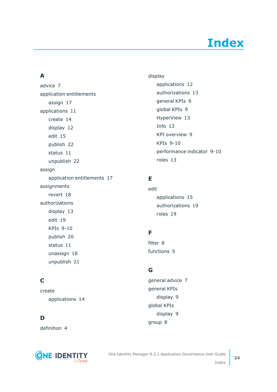# **Index**

### <span id="page-23-0"></span>**A**

advice [7](#page-6-0) application entitlements assign [17](#page-16-0) applications [11](#page-10-0) create [14](#page-13-1) display [12](#page-11-0) edit [15](#page-14-0) publish [22](#page-21-0) status [11](#page-10-1) unpublish [22](#page-21-1) assign application entitlements [17](#page-16-0) assignments revert [18](#page-17-0) authorizations display [13](#page-12-1) edit [19](#page-18-0) KPIs [9-10](#page-8-1) publish [20](#page-19-0) status [11](#page-10-1) unassign [18](#page-17-0) unpublish [21](#page-20-0)

### **C**

create applications [14](#page-13-1)

### **D**

definition [4](#page-3-0)



display applications [12](#page-11-0) authorizations [13](#page-12-1) general KPIs [9](#page-8-1) global KPIs [9](#page-8-1) HyperView [13](#page-12-0) Info [13](#page-12-0) KPI overview [9](#page-8-1) KPIs [9-10](#page-8-1) performance indicator [9-10](#page-8-1) roles [13](#page-12-1)

### **E**

edit applications [15](#page-14-0) authorizations [19](#page-18-0) roles [19](#page-18-0)

### **F**

filter [8](#page-7-0) functions [5](#page-4-0)

### **G**

general advice [7](#page-6-0) general KPIs display [9](#page-8-1) global KPIs display [9](#page-8-1) group [8](#page-7-0)

**24**